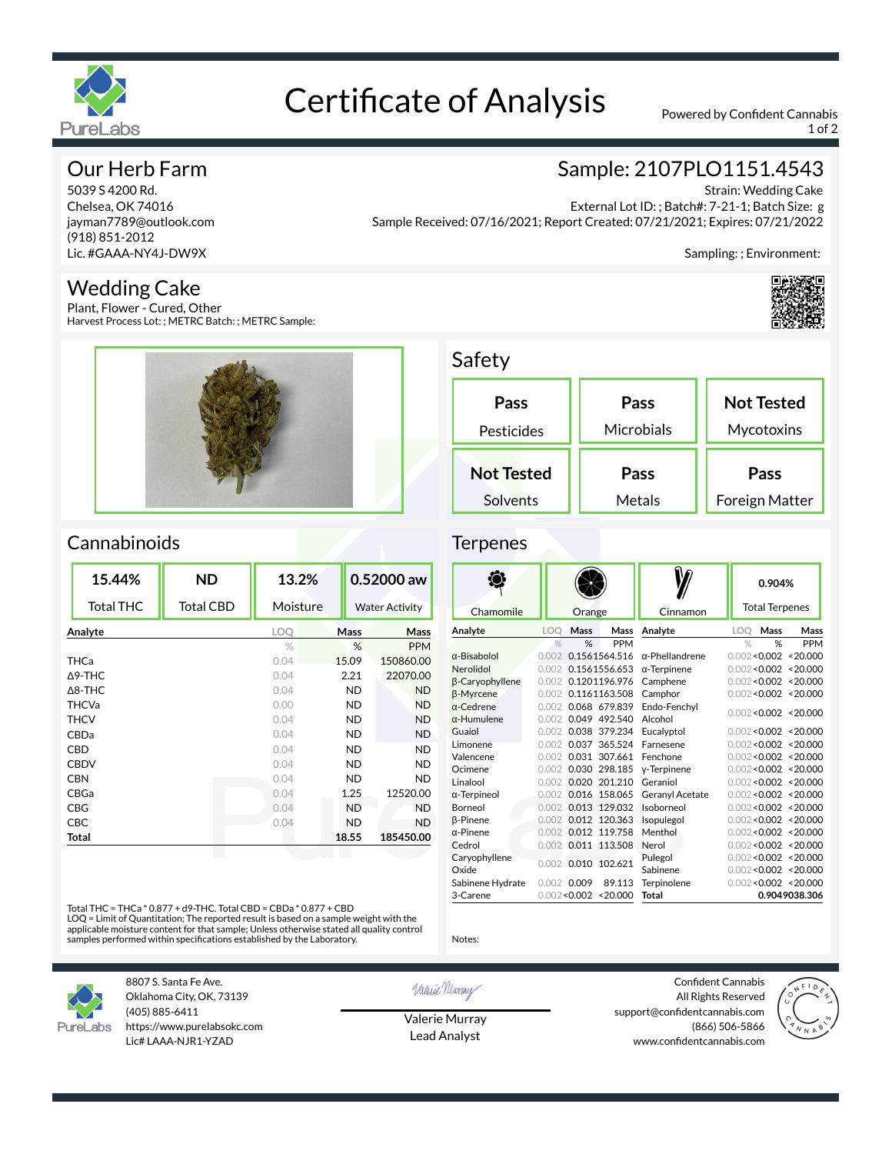

# Certificate of Analysis Powered by Confident Cannabis

1 of 2

### Our Herb Farm

5039 S 4200 Rd. Chelsea, OK 74016 jayman7789@outlook.com (918) 851-2012 Lic. #GAAA-NY4J-DW9X

### Wedding Cake

Plant, Flower - Cured, Other Harvest Process Lot: ; METRC Batch: ; METRC Sample:



## Sample: 2107PLO1151.4543

Strain: Wedding Cake External Lot ID: ; Batch#: 7-21-1; Batch Size: g Sample Received: 07/16/2021; Report Created: 07/21/2021; Expires: 07/21/2022

Sampling: ; Environment:



### Safety

Terpenes

| Pass<br>Pesticides | Pass<br>Microbials | <b>Not Tested</b><br>Mycotoxins |  |
|--------------------|--------------------|---------------------------------|--|
| <b>Not Tested</b>  | Pass               | Pass                            |  |
| Solvents           | Metals             | Foreign Matter                  |  |

### **Cannabinoids**

| 15.44%            | <b>ND</b>        | 13.2%         |           | 0.52000 aw            |
|-------------------|------------------|---------------|-----------|-----------------------|
| <b>Total THC</b>  | <b>Total CBD</b> | Moisture      |           | <b>Water Activity</b> |
| Analyte           |                  | LOQ           | Mass      | <b>Mass</b>           |
|                   |                  | $\frac{0}{2}$ | %         | <b>PPM</b>            |
| <b>THCa</b>       |                  | 0.04          | 15.09     | 150860.00             |
| $\triangle$ 9-THC |                  | 0.04          | 2.21      | 22070.00              |
| $\triangle$ 8-THC |                  | 0.04          | <b>ND</b> | <b>ND</b>             |
| <b>THCVa</b>      |                  | 0.00          | <b>ND</b> | <b>ND</b>             |
| <b>THCV</b>       |                  | 0.04          | <b>ND</b> | <b>ND</b>             |
| CBDa              |                  | 0.04          | <b>ND</b> | <b>ND</b>             |
| CBD               |                  | 0.04          | <b>ND</b> | <b>ND</b>             |
| <b>CBDV</b>       |                  | 0.04          | <b>ND</b> | <b>ND</b>             |
| <b>CBN</b>        |                  | 0.04          | <b>ND</b> | <b>ND</b>             |
| CBGa              |                  | 0.04          | 1.25      | 12520.00              |
| CBG               |                  | 0.04          | <b>ND</b> | <b>ND</b>             |
| CBC               |                  | 0.04          | <b>ND</b> | <b>ND</b>             |
| Total             |                  |               | 18.55     | 185450.00             |
|                   |                  |               |           |                       |

### W ◈ **0.904%** Total Terpenes Chamomile | Orange | Cinnamon **Analyte LOQ Mass Mass Analyte LOQ Mass Mass** % % PPM % % PPM  $α-Bisabolol$  0.002 0.1561564.516  $α-Phellandrene$  $0.002 < 0.002 < 20.000$ Nerolidol 0.002 0.1561556.653 α-Terpinene 0.002<0.002 <20.000 β-Caryophyllene 0.002 0.1201196.976<br>B-Myrcene 0.002 0.1161163.508 Camphene 0.002<0.002 <20.000 β-Myrcene 0.002 0.1161163.508 Camphor 0.002<0.002 <20.000  $\alpha$ -Cedrene 0.002 0.068 679.839<br>  $\alpha$ -Humulene 0.002 0.049 492.540 Endo-Fenchyl Alcohol 0.002<0.002 <20.000 α-Humulene 0.002 0.049 492.540<br>Guaiol 0.002 0.038 379.234 0.002 0.038 379.234 Eucalyptol 0.002<0.002 <20.000 Limonene 0.002 0.037 365.524 Farnesene 0.002<0.002 <20.000 Valencene 0.002 0.031 307.661  $0.002 < 0.002 < 20.000$ Ocimene 0.002 0.030 298.185 γ-Terpinene 0.002<0.002 <20.000 Linalool 0.002 0.020 201.210 Geraniol  $0.002 < 0.002 < 20.000$ α-Terpineol 0.002 0.016 158.065 Geranyl Acetate  $0.002 < 0.002$  <20.000 Borneol 0.002 0.013 129.032 Isoborneol 0.002<0.002 <20.000 β-Pinene 0.002 0.012 120.363 Isopulegol α-Pinene 0.002 0.012 119.758 Menthol  $0.002 < 0.002 < 20.000$ 0.002 0.012 119.758 Menthol 0.002<0.002 <20.000 Cedrol 0.002 0.011 113.508 Nerol 0.002<0.002 <20.000 Caryophyllene Pulegol 0.002<0.002 <20.000 Caryophynene<br>
Oxide 0.002 0.010 102.621 Sabinene 0.002<0.002 <20.000 Sabinene Hydrate 0.002 0.009 89.113 Terpinolene  $0.002 < 0.002 < 20.000$ 3-Carene 0.002<0.002 <20.000 Total **Total 0.9049038.306**

Total THC = THCa \* 0.877 + d9-THC. Total CBD = CBDa \* 0.877 + CBD

LOQ = Limit of Quantitation; The reported result is based on a sample weight with the applicable moisture content for that sample; Unless otherwise stated all quality control samples performed within specifications established by the Laboratory.



8807 S. Santa Fe Ave. Oklahoma City, OK, 73139 (405) 885-6411 https://www.purelabsokc.com Lic# LAAA-NJR1-YZAD

Valerie Newvay

Notes:

Valerie Murray Lead Analyst

Confident Cannabis All Rights Reserved support@confidentcannabis.com (866) 506-5866 www.confidentcannabis.com